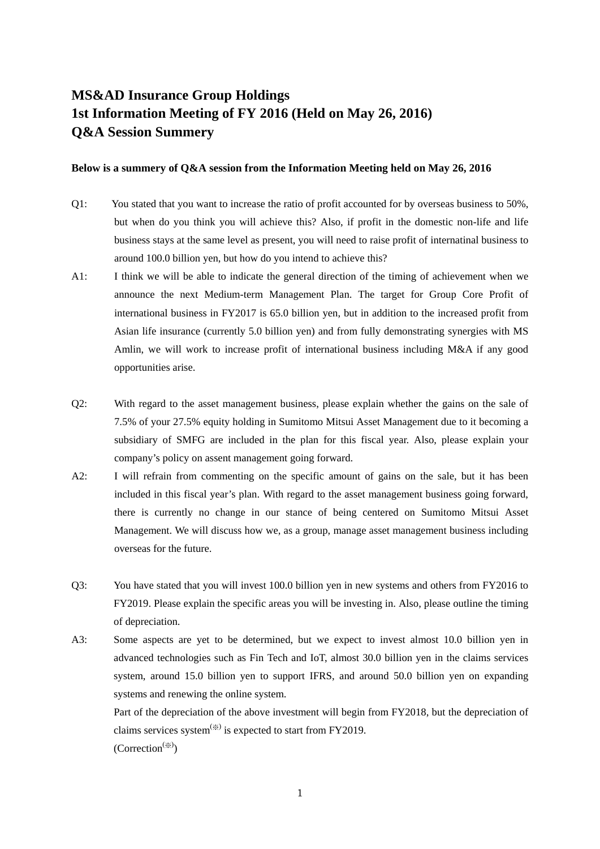## **MS&AD Insurance Group Holdings 1st Information Meeting of FY 2016 (Held on May 26, 2016) Q&A Session Summery**

## **Below is a summery of Q&A session from the Information Meeting held on May 26, 2016**

- Q1: You stated that you want to increase the ratio of profit accounted for by overseas business to 50%, but when do you think you will achieve this? Also, if profit in the domestic non-life and life business stays at the same level as present, you will need to raise profit of internatinal business to around 100.0 billion yen, but how do you intend to achieve this?
- A1: I think we will be able to indicate the general direction of the timing of achievement when we announce the next Medium-term Management Plan. The target for Group Core Profit of international business in FY2017 is 65.0 billion yen, but in addition to the increased profit from Asian life insurance (currently 5.0 billion yen) and from fully demonstrating synergies with MS Amlin, we will work to increase profit of international business including M&A if any good opportunities arise.
- Q2: With regard to the asset management business, please explain whether the gains on the sale of 7.5% of your 27.5% equity holding in Sumitomo Mitsui Asset Management due to it becoming a subsidiary of SMFG are included in the plan for this fiscal year. Also, please explain your company's policy on assent management going forward.
- A2: I will refrain from commenting on the specific amount of gains on the sale, but it has been included in this fiscal year's plan. With regard to the asset management business going forward, there is currently no change in our stance of being centered on Sumitomo Mitsui Asset Management. We will discuss how we, as a group, manage asset management business including overseas for the future.
- Q3: You have stated that you will invest 100.0 billion yen in new systems and others from FY2016 to FY2019. Please explain the specific areas you will be investing in. Also, please outline the timing of depreciation.
- A3: Some aspects are yet to be determined, but we expect to invest almost 10.0 billion yen in advanced technologies such as Fin Tech and IoT, almost 30.0 billion yen in the claims services system, around 15.0 billion yen to support IFRS, and around 50.0 billion yen on expanding systems and renewing the online system.

 Part of the depreciation of the above investment will begin from FY2018, but the depreciation of claims services system<sup>(※)</sup> is expected to start from FY2019.  $(Correction^{(\%)})$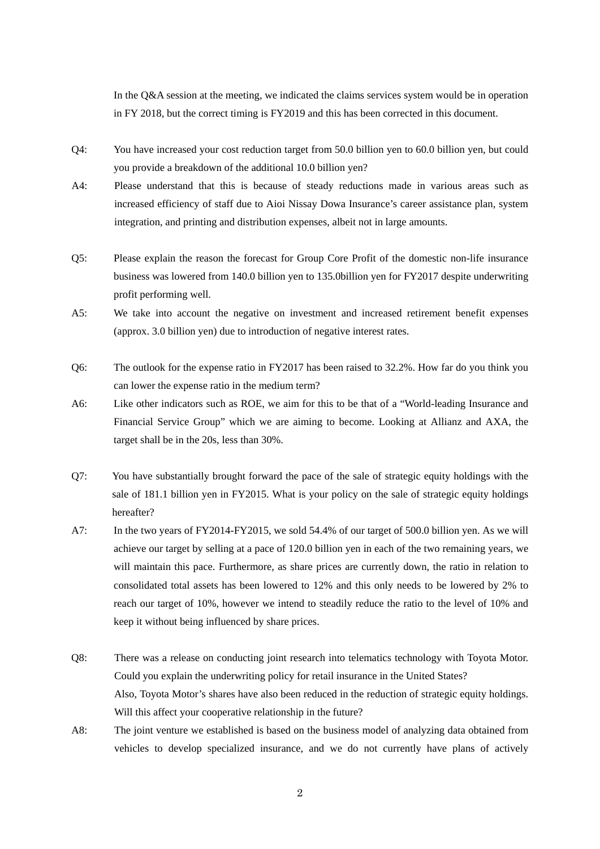In the Q&A session at the meeting, we indicated the claims services system would be in operation in FY 2018, but the correct timing is FY2019 and this has been corrected in this document.

- Q4: You have increased your cost reduction target from 50.0 billion yen to 60.0 billion yen, but could you provide a breakdown of the additional 10.0 billion yen?
- A4: Please understand that this is because of steady reductions made in various areas such as increased efficiency of staff due to Aioi Nissay Dowa Insurance's career assistance plan, system integration, and printing and distribution expenses, albeit not in large amounts.
- Q5: Please explain the reason the forecast for Group Core Profit of the domestic non-life insurance business was lowered from 140.0 billion yen to 135.0billion yen for FY2017 despite underwriting profit performing well.
- A5: We take into account the negative on investment and increased retirement benefit expenses (approx. 3.0 billion yen) due to introduction of negative interest rates.
- Q6: The outlook for the expense ratio in FY2017 has been raised to 32.2%. How far do you think you can lower the expense ratio in the medium term?
- A6: Like other indicators such as ROE, we aim for this to be that of a "World-leading Insurance and Financial Service Group" which we are aiming to become. Looking at Allianz and AXA, the target shall be in the 20s, less than 30%.
- Q7: You have substantially brought forward the pace of the sale of strategic equity holdings with the sale of 181.1 billion yen in FY2015. What is your policy on the sale of strategic equity holdings hereafter?
- A7: In the two years of FY2014-FY2015, we sold 54.4% of our target of 500.0 billion yen. As we will achieve our target by selling at a pace of 120.0 billion yen in each of the two remaining years, we will maintain this pace. Furthermore, as share prices are currently down, the ratio in relation to consolidated total assets has been lowered to 12% and this only needs to be lowered by 2% to reach our target of 10%, however we intend to steadily reduce the ratio to the level of 10% and keep it without being influenced by share prices.
- Q8: There was a release on conducting joint research into telematics technology with Toyota Motor. Could you explain the underwriting policy for retail insurance in the United States? Also, Toyota Motor's shares have also been reduced in the reduction of strategic equity holdings. Will this affect your cooperative relationship in the future?
- A8: The joint venture we established is based on the business model of analyzing data obtained from vehicles to develop specialized insurance, and we do not currently have plans of actively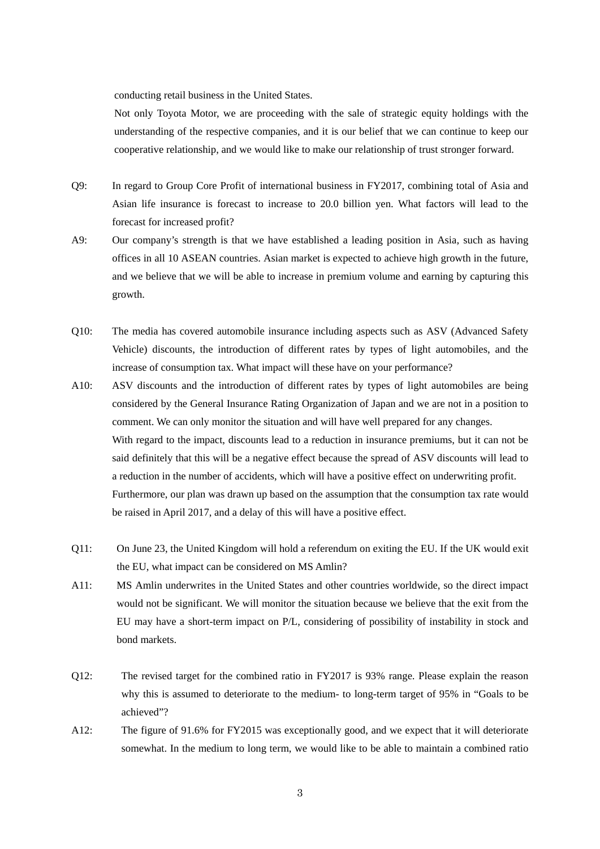conducting retail business in the United States.

Not only Toyota Motor, we are proceeding with the sale of strategic equity holdings with the understanding of the respective companies, and it is our belief that we can continue to keep our cooperative relationship, and we would like to make our relationship of trust stronger forward.

- Q9: In regard to Group Core Profit of international business in FY2017, combining total of Asia and Asian life insurance is forecast to increase to 20.0 billion yen. What factors will lead to the forecast for increased profit?
- A9: Our company's strength is that we have established a leading position in Asia, such as having offices in all 10 ASEAN countries. Asian market is expected to achieve high growth in the future, and we believe that we will be able to increase in premium volume and earning by capturing this growth.
- Q10: The media has covered automobile insurance including aspects such as ASV (Advanced Safety Vehicle) discounts, the introduction of different rates by types of light automobiles, and the increase of consumption tax. What impact will these have on your performance?
- A10: ASV discounts and the introduction of different rates by types of light automobiles are being considered by the General Insurance Rating Organization of Japan and we are not in a position to comment. We can only monitor the situation and will have well prepared for any changes. With regard to the impact, discounts lead to a reduction in insurance premiums, but it can not be said definitely that this will be a negative effect because the spread of ASV discounts will lead to a reduction in the number of accidents, which will have a positive effect on underwriting profit. Furthermore, our plan was drawn up based on the assumption that the consumption tax rate would be raised in April 2017, and a delay of this will have a positive effect.
- Q11: On June 23, the United Kingdom will hold a referendum on exiting the EU. If the UK would exit the EU, what impact can be considered on MS Amlin?
- A11: MS Amlin underwrites in the United States and other countries worldwide, so the direct impact would not be significant. We will monitor the situation because we believe that the exit from the EU may have a short-term impact on P/L, considering of possibility of instability in stock and bond markets.
- Q12: The revised target for the combined ratio in FY2017 is 93% range. Please explain the reason why this is assumed to deteriorate to the medium- to long-term target of 95% in "Goals to be achieved"?
- A12: The figure of 91.6% for FY2015 was exceptionally good, and we expect that it will deteriorate somewhat. In the medium to long term, we would like to be able to maintain a combined ratio